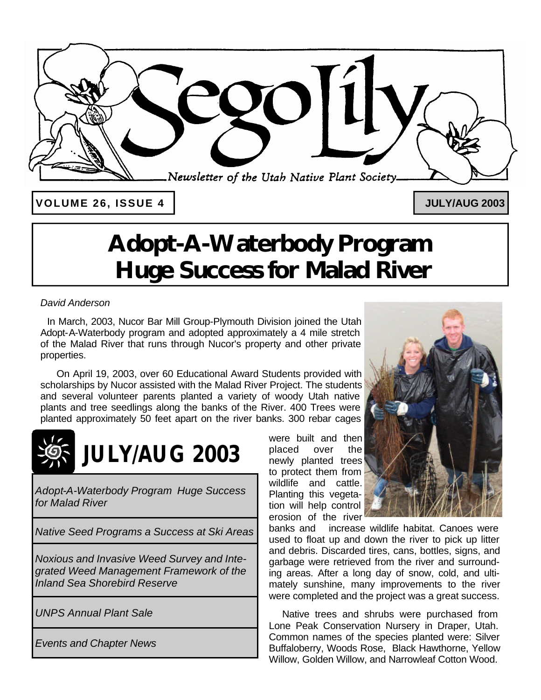

**VOLUME 26, ISSUE 4 JULY/AUG 2003**

# **Adopt-A-Waterbody Program Huge Success for Malad River**

# *David Anderson*

 In March, 2003, Nucor Bar Mill Group-Plymouth Division joined the Utah Adopt-A-Waterbody program and adopted approximately a 4 mile stretch of the Malad River that runs through Nucor's property and other private properties.

 On April 19, 2003, over 60 Educational Award Students provided with scholarships by Nucor assisted with the Malad River Project. The students and several volunteer parents planted a variety of woody Utah native plants and tree seedlings along the banks of the River. 400 Trees were planted approximately 50 feet apart on the river banks. 300 rebar cages



*Adopt-A-Waterbody Program Huge Success for Malad River*

*Native Seed Programs a Success at Ski Areas* 

*Noxious and Invasive Weed Survey and Integrated Weed Management Framework of the Inland Sea Shorebird Reserve*

*UNPS Annual Plant Sale* 

*Events and Chapter News*

were built and then placed over the newly planted trees to protect them from wildlife and cattle. Planting this vegetation will help control erosion of the river



banks and increase wildlife habitat. Canoes were used to float up and down the river to pick up litter and debris. Discarded tires, cans, bottles, signs, and garbage were retrieved from the river and surrounding areas. After a long day of snow, cold, and ultimately sunshine, many improvements to the river were completed and the project was a great success.

 Native trees and shrubs were purchased from Lone Peak Conservation Nursery in Draper, Utah. Common names of the species planted were: Silver Buffaloberry, Woods Rose, Black Hawthorne, Yellow Willow, Golden Willow, and Narrowleaf Cotton Wood.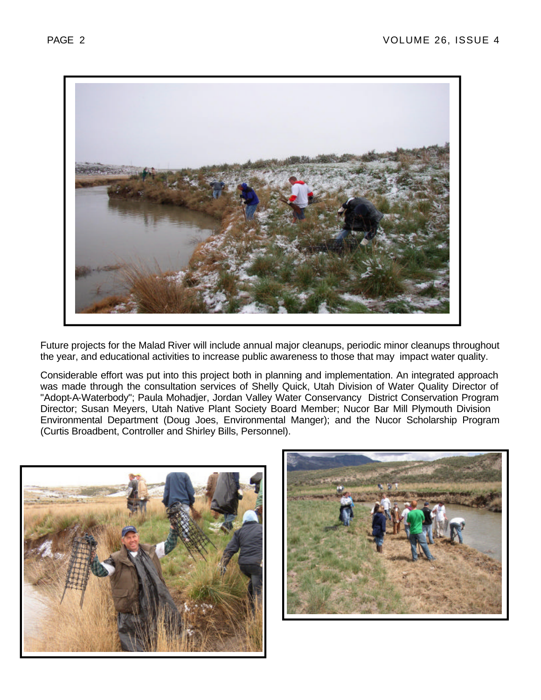

Future projects for the Malad River will include annual major cleanups, periodic minor cleanups throughout the year, and educational activities to increase public awareness to those that may impact water quality.

Considerable effort was put into this project both in planning and implementation. An integrated approach was made through the consultation services of Shelly Quick, Utah Division of Water Quality Director of "Adopt-A-Waterbody"; Paula Mohadjer, Jordan Valley Water Conservancy District Conservation Program Director; Susan Meyers, Utah Native Plant Society Board Member; Nucor Bar Mill Plymouth Division Environmental Department (Doug Joes, Environmental Manger); and the Nucor Scholarship Program (Curtis Broadbent, Controller and Shirley Bills, Personnel).



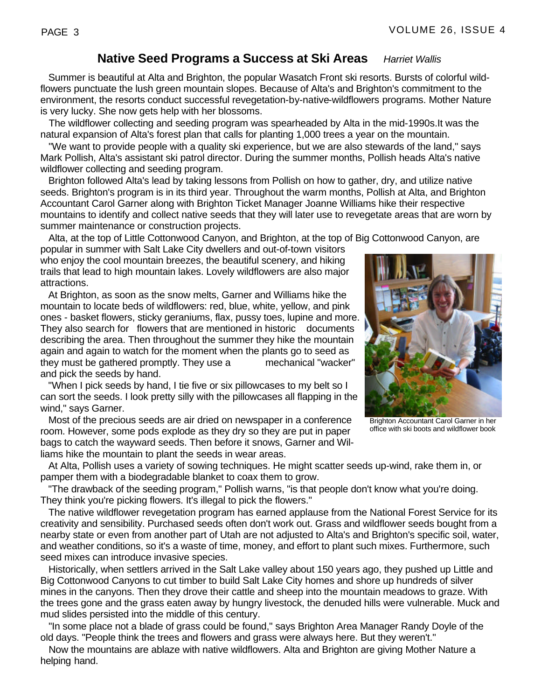# **Native Seed Programs a Success at Ski Areas** *Harriet Wallis*

 Summer is beautiful at Alta and Brighton, the popular Wasatch Front ski resorts. Bursts of colorful wildflowers punctuate the lush green mountain slopes. Because of Alta's and Brighton's commitment to the environment, the resorts conduct successful revegetation-by-native-wildflowers programs. Mother Nature is very lucky. She now gets help with her blossoms.

 The wildflower collecting and seeding program was spearheaded by Alta in the mid-1990s.It was the natural expansion of Alta's forest plan that calls for planting 1,000 trees a year on the mountain.

 "We want to provide people with a quality ski experience, but we are also stewards of the land," says Mark Pollish, Alta's assistant ski patrol director. During the summer months, Pollish heads Alta's native wildflower collecting and seeding program.

 Brighton followed Alta's lead by taking lessons from Pollish on how to gather, dry, and utilize native seeds. Brighton's program is in its third year. Throughout the warm months, Pollish at Alta, and Brighton Accountant Carol Garner along with Brighton Ticket Manager Joanne Williams hike their respective mountains to identify and collect native seeds that they will later use to revegetate areas that are worn by summer maintenance or construction projects.

Alta, at the top of Little Cottonwood Canyon, and Brighton, at the top of Big Cottonwood Canyon, are

popular in summer with Salt Lake City dwellers and out-of-town visitors who enjoy the cool mountain breezes, the beautiful scenery, and hiking trails that lead to high mountain lakes. Lovely wildflowers are also major attractions.

 At Brighton, as soon as the snow melts, Garner and Williams hike the mountain to locate beds of wildflowers: red, blue, white, yellow, and pink ones - basket flowers, sticky geraniums, flax, pussy toes, lupine and more. They also search for flowers that are mentioned in historic documents describing the area. Then throughout the summer they hike the mountain again and again to watch for the moment when the plants go to seed as they must be gathered promptly. They use a mechanical "wacker" and pick the seeds by hand.

 "When I pick seeds by hand, I tie five or six pillowcases to my belt so I can sort the seeds. I look pretty silly with the pillowcases all flapping in the wind," says Garner.

 Most of the precious seeds are air dried on newspaper in a conference room. However, some pods explode as they dry so they are put in paper bags to catch the wayward seeds. Then before it snows, Garner and Williams hike the mountain to plant the seeds in wear areas.

 At Alta, Pollish uses a variety of sowing techniques. He might scatter seeds up-wind, rake them in, or pamper them with a biodegradable blanket to coax them to grow.

 "The drawback of the seeding program," Pollish warns, "is that people don't know what you're doing. They think you're picking flowers. It's illegal to pick the flowers."

 The native wildflower revegetation program has earned applause from the National Forest Service for its creativity and sensibility. Purchased seeds often don't work out. Grass and wildflower seeds bought from a nearby state or even from another part of Utah are not adjusted to Alta's and Brighton's specific soil, water, and weather conditions, so it's a waste of time, money, and effort to plant such mixes. Furthermore, such seed mixes can introduce invasive species.

 Historically, when settlers arrived in the Salt Lake valley about 150 years ago, they pushed up Little and Big Cottonwood Canyons to cut timber to build Salt Lake City homes and shore up hundreds of silver mines in the canyons. Then they drove their cattle and sheep into the mountain meadows to graze. With the trees gone and the grass eaten away by hungry livestock, the denuded hills were vulnerable. Muck and mud slides persisted into the middle of this century.

 "In some place not a blade of grass could be found," says Brighton Area Manager Randy Doyle of the old days. "People think the trees and flowers and grass were always here. But they weren't."

 Now the mountains are ablaze with native wildflowers. Alta and Brighton are giving Mother Nature a helping hand.

office with ski boots and wildflower book

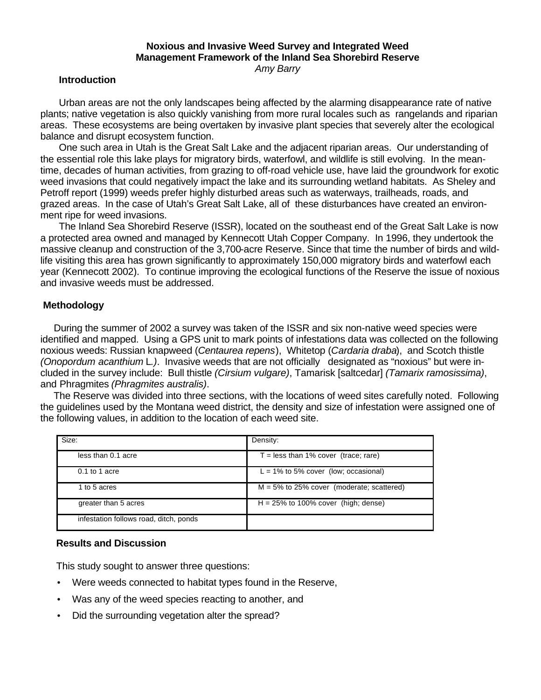# **Noxious and Invasive Weed Survey and Integrated Weed Management Framework of the Inland Sea Shorebird Reserve**

*Amy Barry*

#### **Introduction**

 Urban areas are not the only landscapes being affected by the alarming disappearance rate of native plants; native vegetation is also quickly vanishing from more rural locales such as rangelands and riparian areas. These ecosystems are being overtaken by invasive plant species that severely alter the ecological balance and disrupt ecosystem function.

 One such area in Utah is the Great Salt Lake and the adjacent riparian areas. Our understanding of the essential role this lake plays for migratory birds, waterfowl, and wildlife is still evolving. In the meantime, decades of human activities, from grazing to off-road vehicle use, have laid the groundwork for exotic weed invasions that could negatively impact the lake and its surrounding wetland habitats. As Sheley and Petroff report (1999) weeds prefer highly disturbed areas such as waterways, trailheads, roads, and grazed areas. In the case of Utah's Great Salt Lake, all of these disturbances have created an environment ripe for weed invasions.

 The Inland Sea Shorebird Reserve (ISSR), located on the southeast end of the Great Salt Lake is now a protected area owned and managed by Kennecott Utah Copper Company. In 1996, they undertook the massive cleanup and construction of the 3,700-acre Reserve. Since that time the number of birds and wildlife visiting this area has grown significantly to approximately 150,000 migratory birds and waterfowl each year (Kennecott 2002). To continue improving the ecological functions of the Reserve the issue of noxious and invasive weeds must be addressed.

### **Methodology**

 During the summer of 2002 a survey was taken of the ISSR and six non-native weed species were identified and mapped. Using a GPS unit to mark points of infestations data was collected on the following noxious weeds: Russian knapweed (*Centaurea repens*), Whitetop (*Cardaria draba*), and Scotch thistle *(Onopordum acanthium* L*.)*.Invasive weeds that are not officially designated as "noxious" but were included in the survey include: Bull thistle *(Cirsium vulgare)*, Tamarisk [saltcedar] *(Tamarix ramosissima)*, and Phragmites *(Phragmites australis)*.

 The Reserve was divided into three sections, with the locations of weed sites carefully noted. Following the guidelines used by the Montana weed district, the density and size of infestation were assigned one of the following values, in addition to the location of each weed site.

| Size:                                  | Density:                                     |
|----------------------------------------|----------------------------------------------|
| less than 0.1 acre                     | $T =$ less than 1% cover (trace; rare)       |
| $0.1$ to 1 acre                        | $L = 1\%$ to 5% cover (low; occasional)      |
| 1 to 5 acres                           | $M = 5\%$ to 25% cover (moderate; scattered) |
| greater than 5 acres                   | $H = 25\%$ to 100% cover (high; dense)       |
| infestation follows road, ditch, ponds |                                              |

#### **Results and Discussion**

This study sought to answer three questions:

- Were weeds connected to habitat types found in the Reserve,
- Was any of the weed species reacting to another, and
- Did the surrounding vegetation alter the spread?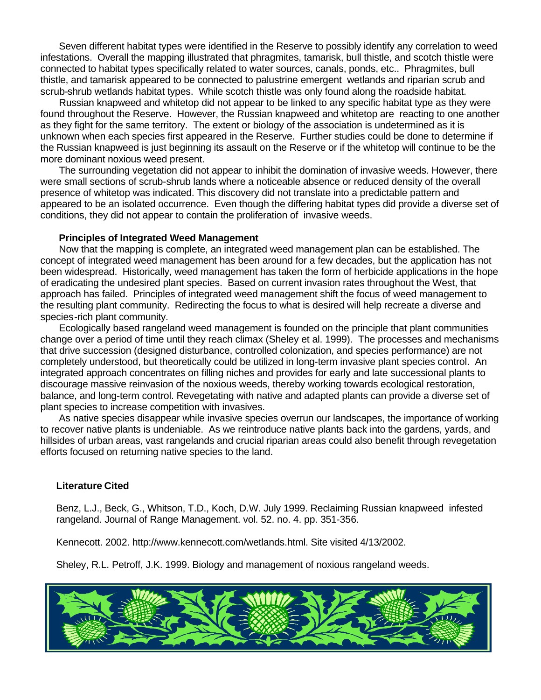Seven different habitat types were identified in the Reserve to possibly identify any correlation to weed infestations. Overall the mapping illustrated that phragmites, tamarisk, bull thistle, and scotch thistle were connected to habitat types specifically related to water sources, canals, ponds, etc.. Phragmites, bull thistle, and tamarisk appeared to be connected to palustrine emergent wetlands and riparian scrub and scrub-shrub wetlands habitat types. While scotch thistle was only found along the roadside habitat.

 Russian knapweed and whitetop did not appear to be linked to any specific habitat type as they were found throughout the Reserve. However, the Russian knapweed and whitetop are reacting to one another as they fight for the same territory. The extent or biology of the association is undetermined as it is unknown when each species first appeared in the Reserve. Further studies could be done to determine if the Russian knapweed is just beginning its assault on the Reserve or if the whitetop will continue to be the more dominant noxious weed present.

 The surrounding vegetation did not appear to inhibit the domination of invasive weeds. However, there were small sections of scrub-shrub lands where a noticeable absence or reduced density of the overall presence of whitetop was indicated. This discovery did not translate into a predictable pattern and appeared to be an isolated occurrence. Even though the differing habitat types did provide a diverse set of conditions, they did not appear to contain the proliferation of invasive weeds.

#### **Principles of Integrated Weed Management**

 Now that the mapping is complete, an integrated weed management plan can be established. The concept of integrated weed management has been around for a few decades, but the application has not been widespread. Historically, weed management has taken the form of herbicide applications in the hope of eradicating the undesired plant species. Based on current invasion rates throughout the West, that approach has failed. Principles of integrated weed management shift the focus of weed management to the resulting plant community. Redirecting the focus to what is desired will help recreate a diverse and species-rich plant community.

 Ecologically based rangeland weed management is founded on the principle that plant communities change over a period of time until they reach climax (Sheley et al. 1999). The processes and mechanisms that drive succession (designed disturbance, controlled colonization, and species performance) are not completely understood, but theoretically could be utilized in long-term invasive plant species control. An integrated approach concentrates on filling niches and provides for early and late successional plants to discourage massive reinvasion of the noxious weeds, thereby working towards ecological restoration, balance, and long-term control. Revegetating with native and adapted plants can provide a diverse set of plant species to increase competition with invasives.

As native species disappear while invasive species overrun our landscapes, the importance of working to recover native plants is undeniable. As we reintroduce native plants back into the gardens, yards, and hillsides of urban areas, vast rangelands and crucial riparian areas could also benefit through revegetation efforts focused on returning native species to the land.

#### **Literature Cited**

Benz, L.J., Beck, G., Whitson, T.D., Koch, D.W. July 1999. Reclaiming Russian knapweed infested rangeland. Journal of Range Management. vol. 52. no. 4. pp. 351-356.

Kennecott. 2002. http://www.kennecott.com/wetlands.html. Site visited 4/13/2002.

Sheley, R.L. Petroff, J.K. 1999. Biology and management of noxious rangeland weeds.

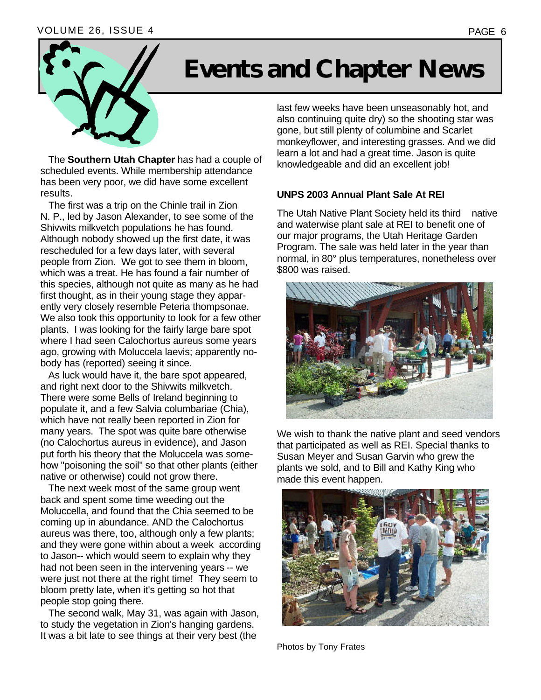### VOLUME 26, ISSUE 4 PAGE 6



# **Events and Chapter News**

 The **Southern Utah Chapter** has had a couple of scheduled events. While membership attendance has been very poor, we did have some excellent results.

 The first was a trip on the Chinle trail in Zion N. P., led by Jason Alexander, to see some of the Shivwits milkvetch populations he has found. Although nobody showed up the first date, it was rescheduled for a few days later, with several people from Zion. We got to see them in bloom, which was a treat. He has found a fair number of this species, although not quite as many as he had first thought, as in their young stage they apparently very closely resemble Peteria thompsonae. We also took this opportunity to look for a few other plants. I was looking for the fairly large bare spot where I had seen Calochortus aureus some years ago, growing with Moluccela laevis; apparently nobody has (reported) seeing it since.

 As luck would have it, the bare spot appeared, and right next door to the Shivwits milkvetch. There were some Bells of Ireland beginning to populate it, and a few Salvia columbariae (Chia), which have not really been reported in Zion for many years. The spot was quite bare otherwise (no Calochortus aureus in evidence), and Jason put forth his theory that the Moluccela was somehow "poisoning the soil" so that other plants (either native or otherwise) could not grow there.

 The next week most of the same group went back and spent some time weeding out the Moluccella, and found that the Chia seemed to be coming up in abundance. AND the Calochortus aureus was there, too, although only a few plants; and they were gone within about a week according to Jason-- which would seem to explain why they had not been seen in the intervening years -- we were just not there at the right time! They seem to bloom pretty late, when it's getting so hot that people stop going there.

 The second walk, May 31, was again with Jason, to study the vegetation in Zion's hanging gardens. It was a bit late to see things at their very best (the

last few weeks have been unseasonably hot, and also continuing quite dry) so the shooting star was gone, but still plenty of columbine and Scarlet monkeyflower, and interesting grasses. And we did learn a lot and had a great time. Jason is quite knowledgeable and did an excellent job!

## **UNPS 2003 Annual Plant Sale At REI**

The Utah Native Plant Society held its third native and waterwise plant sale at REI to benefit one of our major programs, the Utah Heritage Garden Program. The sale was held later in the year than normal, in 80° plus temperatures, nonetheless over \$800 was raised.



We wish to thank the native plant and seed vendors that participated as well as REI. Special thanks to Susan Meyer and Susan Garvin who grew the plants we sold, and to Bill and Kathy King who made this event happen.



Photos by Tony Frates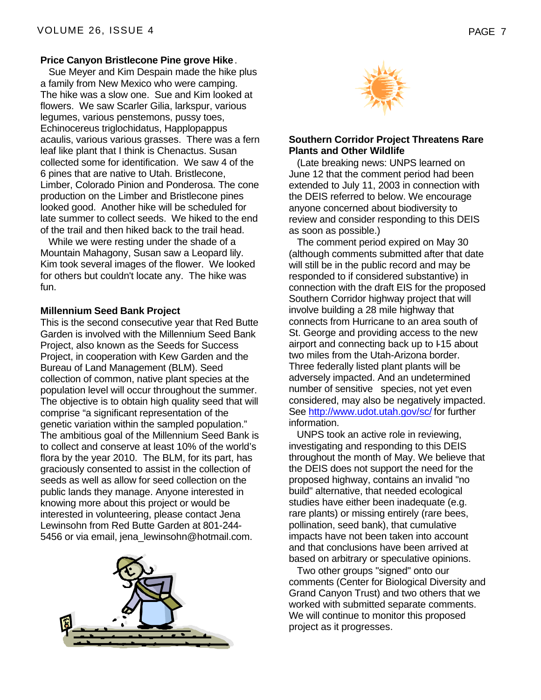#### **Price Canyon Bristlecone Pine grove Hike**.

 Sue Meyer and Kim Despain made the hike plus a family from New Mexico who were camping. The hike was a slow one. Sue and Kim looked at flowers. We saw Scarler Gilia, larkspur, various legumes, various penstemons, pussy toes, Echinocereus triglochidatus, Happlopappus acaulis, various various grasses. There was a fern leaf like plant that I think is Chenactus. Susan collected some for identification. We saw 4 of the 6 pines that are native to Utah. Bristlecone, Limber, Colorado Pinion and Ponderosa. The cone production on the Limber and Bristlecone pines looked good. Another hike will be scheduled for late summer to collect seeds. We hiked to the end of the trail and then hiked back to the trail head.

 While we were resting under the shade of a Mountain Mahagony, Susan saw a Leopard lily. Kim took several images of the flower. We looked for others but couldn't locate any. The hike was fun.

### **Millennium Seed Bank Project**

This is the second consecutive year that Red Butte Garden is involved with the Millennium Seed Bank Project, also known as the Seeds for Success Project, in cooperation with Kew Garden and the Bureau of Land Management (BLM). Seed collection of common, native plant species at the population level will occur throughout the summer. The objective is to obtain high quality seed that will comprise "a significant representation of the genetic variation within the sampled population." The ambitious goal of the Millennium Seed Bank is to collect and conserve at least 10% of the world's flora by the year 2010. The BLM, for its part, has graciously consented to assist in the collection of seeds as well as allow for seed collection on the public lands they manage. Anyone interested in knowing more about this project or would be interested in volunteering, please contact Jena Lewinsohn from Red Butte Garden at 801-244- 5456 or via email, jena\_lewinsohn@hotmail.com.





### **Southern Corridor Project Threatens Rare Plants and Other Wildlife**

 (Late breaking news: UNPS learned on June 12 that the comment period had been extended to July 11, 2003 in connection with the DEIS referred to below. We encourage anyone concerned about biodiversity to review and consider responding to this DEIS as soon as possible.)

 The comment period expired on May 30 (although comments submitted after that date will still be in the public record and may be responded to if considered substantive) in connection with the draft EIS for the proposed Southern Corridor highway project that will involve building a 28 mile highway that connects from Hurricane to an area south of St. George and providing access to the new airport and connecting back up to I-15 about two miles from the Utah-Arizona border. Three federally listed plant plants will be adversely impacted. And an undetermined number of sensitive species, not yet even considered, may also be negatively impacted. See http://www.udot.utah.gov/sc/ for further information.

 UNPS took an active role in reviewing, investigating and responding to this DEIS throughout the month of May. We believe that the DEIS does not support the need for the proposed highway, contains an invalid "no build" alternative, that needed ecological studies have either been inadequate (e.g. rare plants) or missing entirely (rare bees, pollination, seed bank), that cumulative impacts have not been taken into account and that conclusions have been arrived at based on arbitrary or speculative opinions.

 Two other groups "signed" onto our comments (Center for Biological Diversity and Grand Canyon Trust) and two others that we worked with submitted separate comments. We will continue to monitor this proposed project as it progresses.